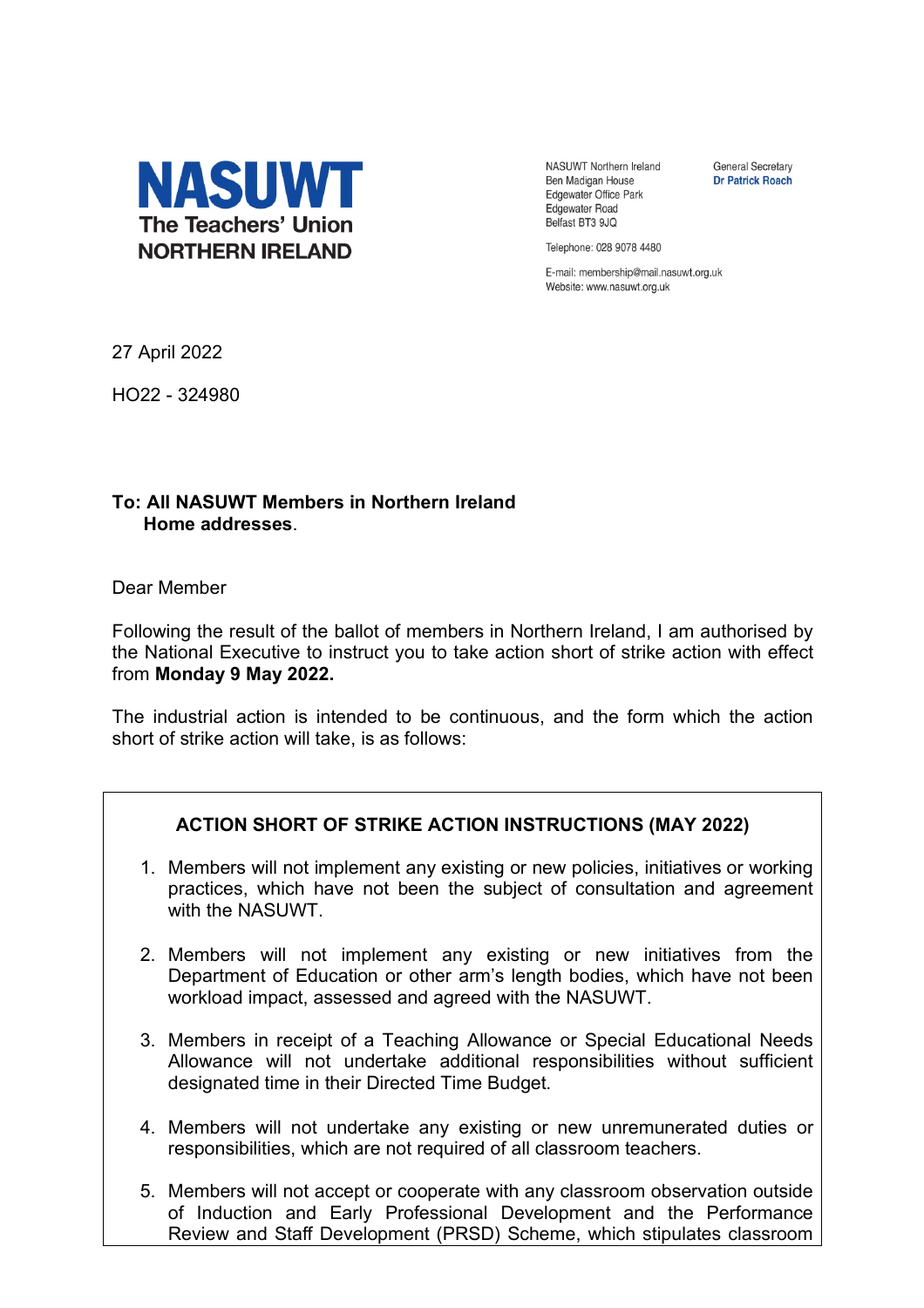

NASUWT Northern Ireland Ben Madigan House Edgewater Office Park **Edgewater Road** Belfast BT3 9JQ

**General Secretary Dr Patrick Roach** 

Telephone: 028 9078 4480

E-mail: membership@mail.nasuwt.org.uk Website: www.nasuwt.org.uk

27 April 2022

HO22 - 324980

## **To: All NASUWT Members in Northern Ireland Home addresses**.

Dear Member

Following the result of the ballot of members in Northern Ireland, I am authorised by the National Executive to instruct you to take action short of strike action with effect from **Monday 9 May 2022.**

The industrial action is intended to be continuous, and the form which the action short of strike action will take, is as follows:

## **ACTION SHORT OF STRIKE ACTION INSTRUCTIONS (MAY 2022)**

- 1. Members will not implement any existing or new policies, initiatives or working practices, which have not been the subject of consultation and agreement with the NASUWT.
- 2. Members will not implement any existing or new initiatives from the Department of Education or other arm's length bodies, which have not been workload impact, assessed and agreed with the NASUWT.
- 3. Members in receipt of a Teaching Allowance or Special Educational Needs Allowance will not undertake additional responsibilities without sufficient designated time in their Directed Time Budget.
- 4. Members will not undertake any existing or new unremunerated duties or responsibilities, which are not required of all classroom teachers.
- 5. Members will not accept or cooperate with any classroom observation outside of Induction and Early Professional Development and the Performance Review and Staff Development (PRSD) Scheme, which stipulates classroom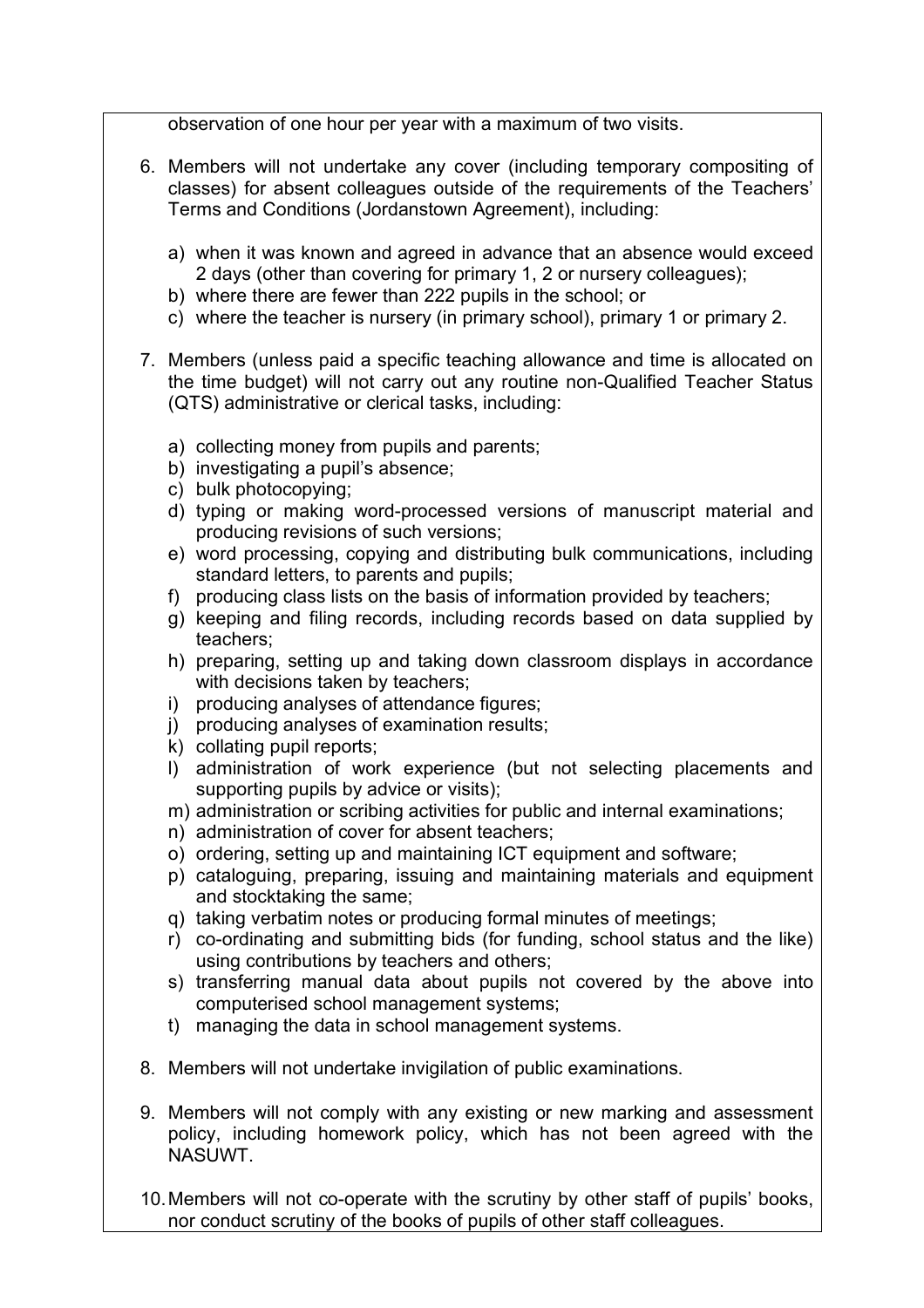observation of one hour per year with a maximum of two visits.

- 6. Members will not undertake any cover (including temporary compositing of classes) for absent colleagues outside of the requirements of the Teachers' Terms and Conditions (Jordanstown Agreement), including:
	- a) when it was known and agreed in advance that an absence would exceed 2 days (other than covering for primary 1, 2 or nursery colleagues);
	- b) where there are fewer than 222 pupils in the school; or
	- c) where the teacher is nursery (in primary school), primary 1 or primary 2.
- 7. Members (unless paid a specific teaching allowance and time is allocated on the time budget) will not carry out any routine non-Qualified Teacher Status (QTS) administrative or clerical tasks, including:
	- a) collecting money from pupils and parents;
	- b) investigating a pupil's absence;
	- c) bulk photocopying;
	- d) typing or making word-processed versions of manuscript material and producing revisions of such versions;
	- e) word processing, copying and distributing bulk communications, including standard letters, to parents and pupils;
	- f) producing class lists on the basis of information provided by teachers;
	- g) keeping and filing records, including records based on data supplied by teachers;
	- h) preparing, setting up and taking down classroom displays in accordance with decisions taken by teachers;
	- i) producing analyses of attendance figures;
	- j) producing analyses of examination results;
	- k) collating pupil reports;
	- l) administration of work experience (but not selecting placements and supporting pupils by advice or visits);
	- m) administration or scribing activities for public and internal examinations;
	- n) administration of cover for absent teachers;
	- o) ordering, setting up and maintaining ICT equipment and software;
	- p) cataloguing, preparing, issuing and maintaining materials and equipment and stocktaking the same;
	- q) taking verbatim notes or producing formal minutes of meetings;
	- r) co-ordinating and submitting bids (for funding, school status and the like) using contributions by teachers and others;
	- s) transferring manual data about pupils not covered by the above into computerised school management systems;
	- t) managing the data in school management systems.
- 8. Members will not undertake invigilation of public examinations.
- 9. Members will not comply with any existing or new marking and assessment policy, including homework policy, which has not been agreed with the NASUWT.
- 10.Members will not co-operate with the scrutiny by other staff of pupils' books, nor conduct scrutiny of the books of pupils of other staff colleagues.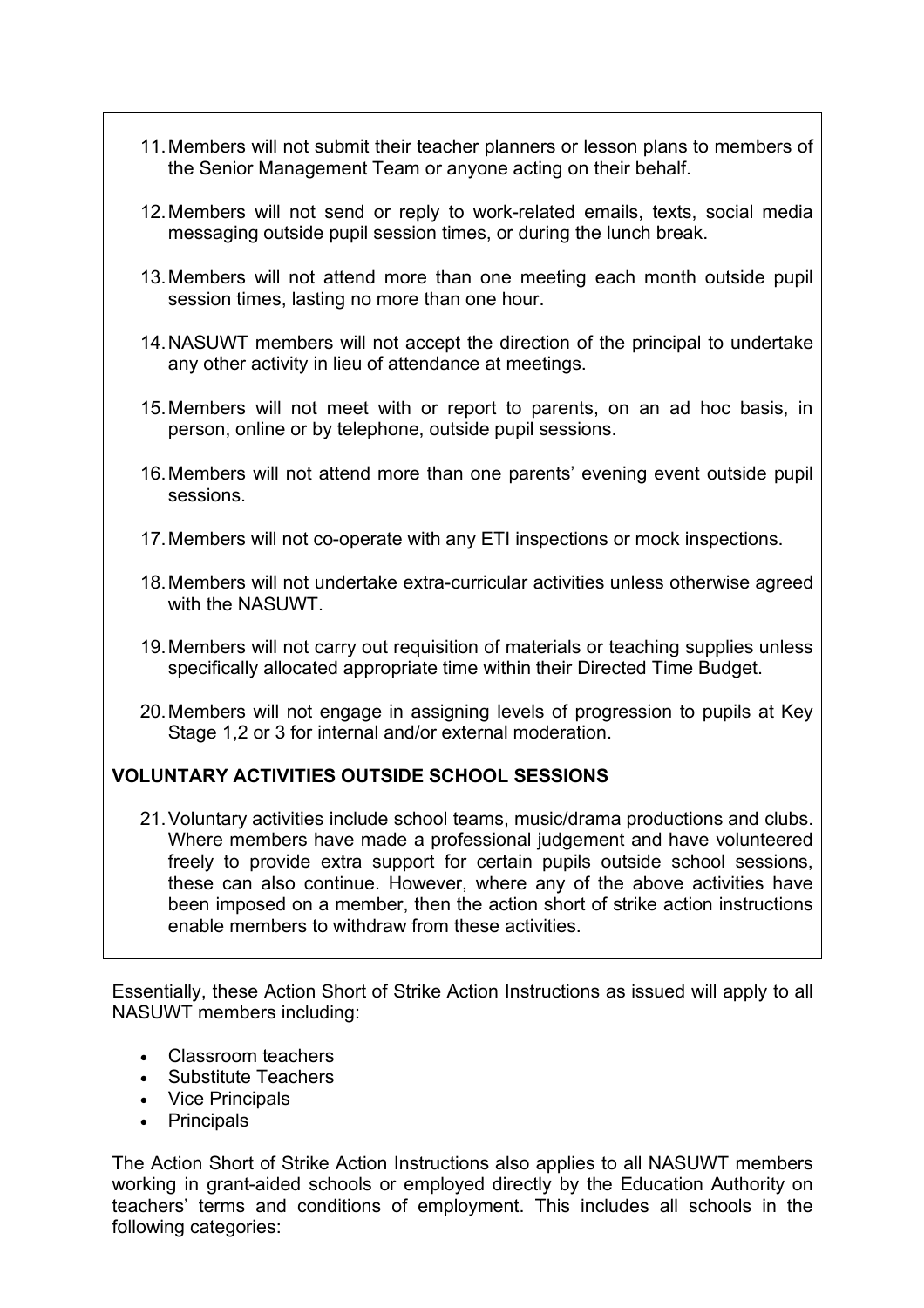- 11.Members will not submit their teacher planners or lesson plans to members of the Senior Management Team or anyone acting on their behalf.
- 12.Members will not send or reply to work-related emails, texts, social media messaging outside pupil session times, or during the lunch break.
- 13.Members will not attend more than one meeting each month outside pupil session times, lasting no more than one hour.
- 14.NASUWT members will not accept the direction of the principal to undertake any other activity in lieu of attendance at meetings.
- 15.Members will not meet with or report to parents, on an ad hoc basis, in person, online or by telephone, outside pupil sessions.
- 16.Members will not attend more than one parents' evening event outside pupil sessions.
- 17.Members will not co-operate with any ETI inspections or mock inspections.
- 18.Members will not undertake extra-curricular activities unless otherwise agreed with the NASUWT.
- 19.Members will not carry out requisition of materials or teaching supplies unless specifically allocated appropriate time within their Directed Time Budget.
- 20.Members will not engage in assigning levels of progression to pupils at Key Stage 1,2 or 3 for internal and/or external moderation.

## **VOLUNTARY ACTIVITIES OUTSIDE SCHOOL SESSIONS**

21.Voluntary activities include school teams, music/drama productions and clubs. Where members have made a professional judgement and have volunteered freely to provide extra support for certain pupils outside school sessions, these can also continue. However, where any of the above activities have been imposed on a member, then the action short of strike action instructions enable members to withdraw from these activities.

Essentially, these Action Short of Strike Action Instructions as issued will apply to all NASUWT members including:

- Classroom teachers
- Substitute Teachers
- Vice Principals
- Principals

The Action Short of Strike Action Instructions also applies to all NASUWT members working in grant-aided schools or employed directly by the Education Authority on teachers' terms and conditions of employment. This includes all schools in the following categories: